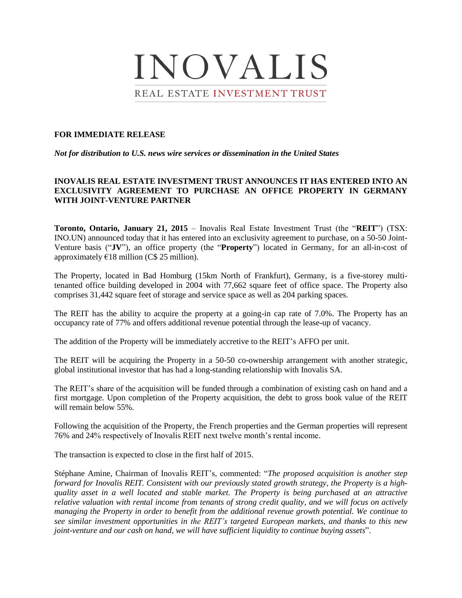

### **FOR IMMEDIATE RELEASE**

*Not for distribution to U.S. news wire services or dissemination in the United States*

# **INOVALIS REAL ESTATE INVESTMENT TRUST ANNOUNCES IT HAS ENTERED INTO AN EXCLUSIVITY AGREEMENT TO PURCHASE AN OFFICE PROPERTY IN GERMANY WITH JOINT-VENTURE PARTNER**

**Toronto, Ontario, January 21, 2015** – Inovalis Real Estate Investment Trust (the "**REIT**") (TSX: INO.UN) announced today that it has entered into an exclusivity agreement to purchase, on a 50-50 Joint-Venture basis ("**JV**"), an office property (the "**Property**") located in Germany, for an all-in-cost of approximately  $E18$  million (C\$ 25 million).

The Property, located in Bad Homburg (15km North of Frankfurt), Germany, is a five-storey multitenanted office building developed in 2004 with 77,662 square feet of office space. The Property also comprises 31,442 square feet of storage and service space as well as 204 parking spaces.

The REIT has the ability to acquire the property at a going-in cap rate of 7.0%. The Property has an occupancy rate of 77% and offers additional revenue potential through the lease-up of vacancy.

The addition of the Property will be immediately accretive to the REIT's AFFO per unit.

The REIT will be acquiring the Property in a 50-50 co-ownership arrangement with another strategic, global institutional investor that has had a long-standing relationship with Inovalis SA.

The REIT's share of the acquisition will be funded through a combination of existing cash on hand and a first mortgage. Upon completion of the Property acquisition, the debt to gross book value of the REIT will remain below 55%.

Following the acquisition of the Property, the French properties and the German properties will represent 76% and 24% respectively of Inovalis REIT next twelve month's rental income.

The transaction is expected to close in the first half of 2015.

Stéphane Amine, Chairman of Inovalis REIT's, commented: "*The proposed acquisition is another step forward for Inovalis REIT. Consistent with our previously stated growth strategy, the Property is a highquality asset in a well located and stable market. The Property is being purchased at an attractive relative valuation with rental income from tenants of strong credit quality, and we will focus on actively managing the Property in order to benefit from the additional revenue growth potential. We continue to see similar investment opportunities in the REIT's targeted European markets, and thanks to this new joint-venture and our cash on hand, we will have sufficient liquidity to continue buying assets*".